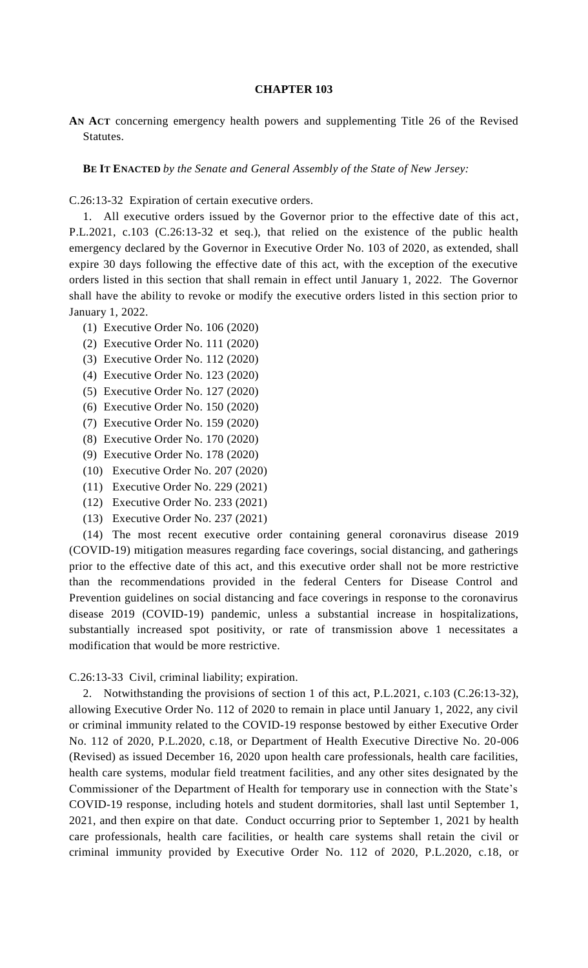## **CHAPTER 103**

**AN ACT** concerning emergency health powers and supplementing Title 26 of the Revised **Statutes** 

**BE IT ENACTED** *by the Senate and General Assembly of the State of New Jersey:*

C.26:13-32 Expiration of certain executive orders.

1. All executive orders issued by the Governor prior to the effective date of this act, P.L.2021, c.103 (C.26:13-32 et seq.), that relied on the existence of the public health emergency declared by the Governor in Executive Order No. 103 of 2020, as extended, shall expire 30 days following the effective date of this act, with the exception of the executive orders listed in this section that shall remain in effect until January 1, 2022. The Governor shall have the ability to revoke or modify the executive orders listed in this section prior to January 1, 2022.

- (1) Executive Order No. 106 (2020)
- (2) Executive Order No. 111 (2020)
- (3) Executive Order No. 112 (2020)
- (4) Executive Order No. 123 (2020)
- (5) Executive Order No. 127 (2020)
- (6) Executive Order No. 150 (2020)
- (7) Executive Order No. 159 (2020)
- (8) Executive Order No. 170 (2020)
- (9) Executive Order No. 178 (2020)
- (10) Executive Order No. 207 (2020)
- (11) Executive Order No. 229 (2021)
- (12) Executive Order No. 233 (2021)
- (13) Executive Order No. 237 (2021)

(14) The most recent executive order containing general coronavirus disease 2019 (COVID-19) mitigation measures regarding face coverings, social distancing, and gatherings prior to the effective date of this act, and this executive order shall not be more restrictive than the recommendations provided in the federal Centers for Disease Control and Prevention guidelines on social distancing and face coverings in response to the coronavirus disease 2019 (COVID-19) pandemic, unless a substantial increase in hospitalizations, substantially increased spot positivity, or rate of transmission above 1 necessitates a modification that would be more restrictive.

C.26:13-33 Civil, criminal liability; expiration.

2. Notwithstanding the provisions of section 1 of this act, P.L.2021, c.103 (C.26:13-32), allowing Executive Order No. 112 of 2020 to remain in place until January 1, 2022, any civil or criminal immunity related to the COVID-19 response bestowed by either Executive Order No. 112 of 2020, P.L.2020, c.18, or Department of Health Executive Directive No. 20-006 (Revised) as issued December 16, 2020 upon health care professionals, health care facilities, health care systems, modular field treatment facilities, and any other sites designated by the Commissioner of the Department of Health for temporary use in connection with the State's COVID-19 response, including hotels and student dormitories, shall last until September 1, 2021, and then expire on that date. Conduct occurring prior to September 1, 2021 by health care professionals, health care facilities, or health care systems shall retain the civil or criminal immunity provided by Executive Order No. 112 of 2020, P.L.2020, c.18, or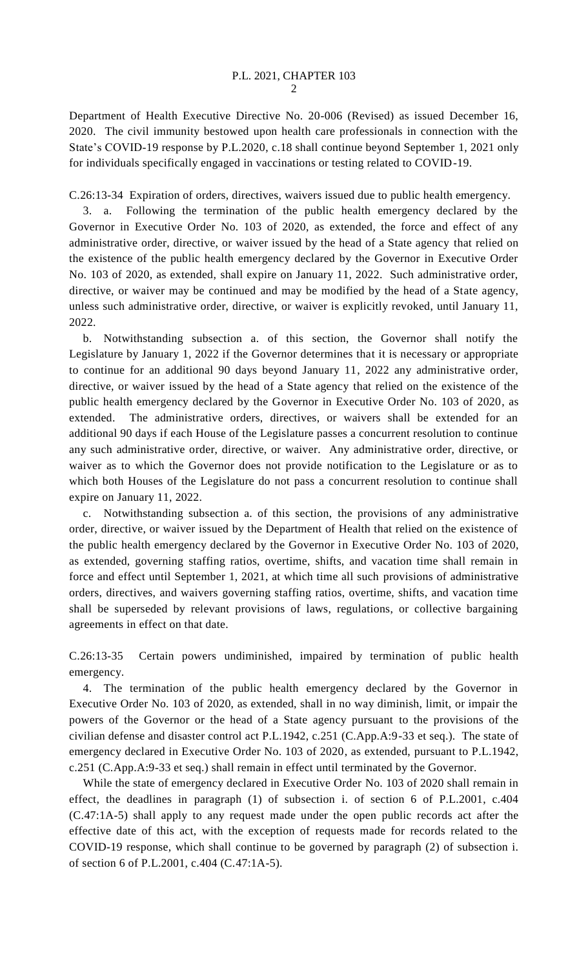Department of Health Executive Directive No. 20-006 (Revised) as issued December 16, 2020. The civil immunity bestowed upon health care professionals in connection with the State's COVID-19 response by P.L.2020, c.18 shall continue beyond September 1, 2021 only for individuals specifically engaged in vaccinations or testing related to COVID-19.

C.26:13-34 Expiration of orders, directives, waivers issued due to public health emergency.

3. a. Following the termination of the public health emergency declared by the Governor in Executive Order No. 103 of 2020, as extended, the force and effect of any administrative order, directive, or waiver issued by the head of a State agency that relied on the existence of the public health emergency declared by the Governor in Executive Order No. 103 of 2020, as extended, shall expire on January 11, 2022. Such administrative order, directive, or waiver may be continued and may be modified by the head of a State agency, unless such administrative order, directive, or waiver is explicitly revoked, until January 11, 2022.

b. Notwithstanding subsection a. of this section, the Governor shall notify the Legislature by January 1, 2022 if the Governor determines that it is necessary or appropriate to continue for an additional 90 days beyond January 11, 2022 any administrative order, directive, or waiver issued by the head of a State agency that relied on the existence of the public health emergency declared by the Governor in Executive Order No. 103 of 2020, as extended. The administrative orders, directives, or waivers shall be extended for an additional 90 days if each House of the Legislature passes a concurrent resolution to continue any such administrative order, directive, or waiver. Any administrative order, directive, or waiver as to which the Governor does not provide notification to the Legislature or as to which both Houses of the Legislature do not pass a concurrent resolution to continue shall expire on January 11, 2022.

c. Notwithstanding subsection a. of this section, the provisions of any administrative order, directive, or waiver issued by the Department of Health that relied on the existence of the public health emergency declared by the Governor in Executive Order No. 103 of 2020, as extended, governing staffing ratios, overtime, shifts, and vacation time shall remain in force and effect until September 1, 2021, at which time all such provisions of administrative orders, directives, and waivers governing staffing ratios, overtime, shifts, and vacation time shall be superseded by relevant provisions of laws, regulations, or collective bargaining agreements in effect on that date.

C.26:13-35 Certain powers undiminished, impaired by termination of public health emergency.

4. The termination of the public health emergency declared by the Governor in Executive Order No. 103 of 2020, as extended, shall in no way diminish, limit, or impair the powers of the Governor or the head of a State agency pursuant to the provisions of the civilian defense and disaster control act P.L.1942, c.251 (C.App.A:9-33 et seq.). The state of emergency declared in Executive Order No. 103 of 2020, as extended, pursuant to P.L.1942, c.251 (C.App.A:9-33 et seq.) shall remain in effect until terminated by the Governor.

While the state of emergency declared in Executive Order No. 103 of 2020 shall remain in effect, the deadlines in paragraph (1) of subsection i. of section 6 of P.L.2001, c.404 (C.47:1A-5) shall apply to any request made under the open public records act after the effective date of this act, with the exception of requests made for records related to the COVID-19 response, which shall continue to be governed by paragraph (2) of subsection i. of section 6 of P.L.2001, c.404 (C.47:1A-5).